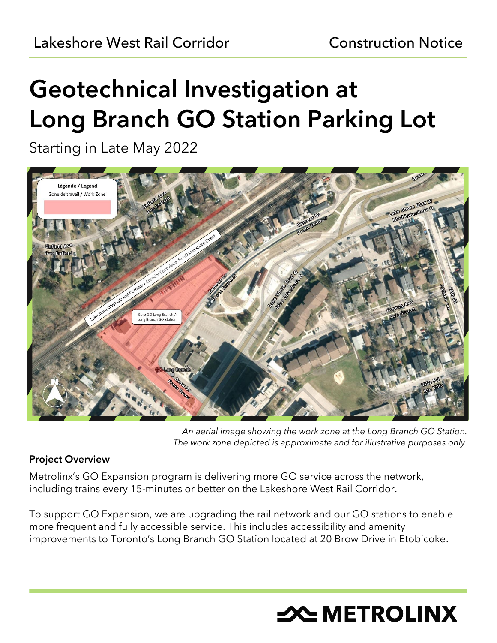# Geotechnical Investigation at Long Branch GO Station Parking Lot

Starting in Late May 2022



*An aerial image showing the work zone at the Long Branch GO Station. The work zone depicted is approximate and for illustrative purposes only.*

# Project Overview

Metrolinx's GO Expansion program is delivering more GO service across the network, including trains every 15-minutes or better on the Lakeshore West Rail Corridor.

To support GO Expansion, we are upgrading the rail network and our GO stations to enable more frequent and fully accessible service. This includes accessibility and amenity improvements to Toronto's Long Branch GO Station located at 20 Brow Drive in Etobicoke.

# **X METROLINX**